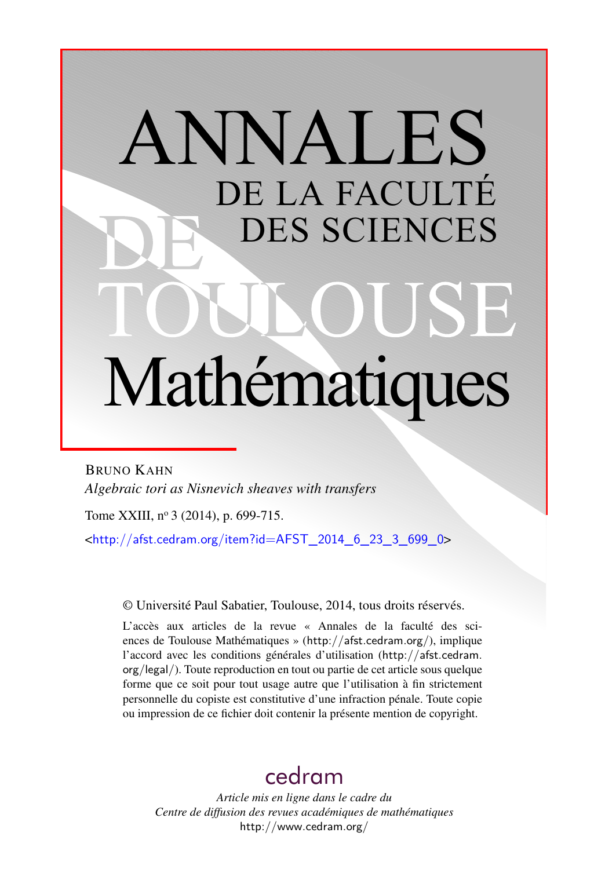# ANNALES DE LA FACULTÉ DES SCIENCES Mathématiques

BRUNO KAHN *Algebraic tori as Nisnevich sheaves with transfers*

Tome XXIII, nº 3 (2014), p. 699-715.

 $\text{chttp:}/\text{/afst.cedram.org/item?id=AFST}$  2014 6 23 3 699 0>

© Université Paul Sabatier, Toulouse, 2014, tous droits réservés.

L'accès aux articles de la revue « Annales de la faculté des sciences de Toulouse Mathématiques » (<http://afst.cedram.org/>), implique l'accord avec les conditions générales d'utilisation ([http://afst.cedram.](http://afst.cedram.org/legal/) [org/legal/](http://afst.cedram.org/legal/)). Toute reproduction en tout ou partie de cet article sous quelque forme que ce soit pour tout usage autre que l'utilisation à fin strictement personnelle du copiste est constitutive d'une infraction pénale. Toute copie ou impression de ce fichier doit contenir la présente mention de copyright.

# [cedram](http://www.cedram.org/)

*Article mis en ligne dans le cadre du Centre de diffusion des revues académiques de mathématiques* <http://www.cedram.org/>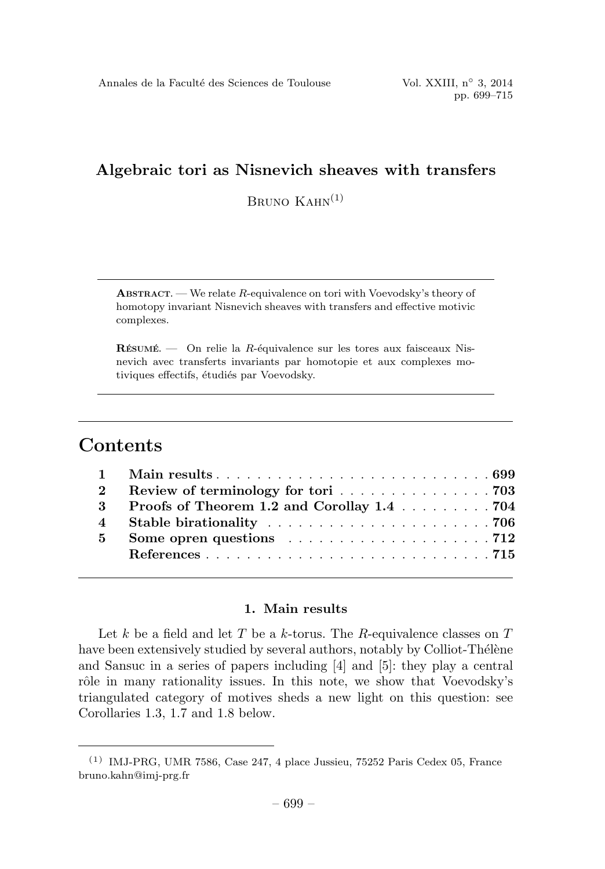BRUNO  $K_A$ HN $^{(1)}$ 

**ABSTRACT.** — We relate  $R$ -equivalence on tori with Voevodsky's theory of homotopy invariant Nisnevich sheaves with transfers and effective motivic complexes.

 $R$ ÉSUMÉ. — On relie la R-équivalence sur les tores aux faisceaux Nisnevich avec transferts invariants par homotopie et aux complexes motiviques effectifs, étudiés par Voevodsky.

# **Contents**

|                | 2 Review of terminology for tori 703                                        |
|----------------|-----------------------------------------------------------------------------|
|                | 3 Proofs of Theorem 1.2 and Corollay 1.4 704                                |
|                |                                                                             |
| 5 <sup>7</sup> | Some opren questions $\ldots \ldots \ldots \ldots \ldots \ldots \ldots 712$ |
|                |                                                                             |
|                |                                                                             |

### 1. Main results

Let k be a field and let T be a k-torus. The R-equivalence classes on  $T$ have been extensively studied by several authors, notably by Colliot-Thélène and Sansuc in a series of papers including[4] and [5]: they play a central rôle in many rationality issues. In this note, we show that Voevodsky's triangulated category of motives sheds a new light on this question: see Corollaries 1.3, 1.7 and 1.8 below.

 $(1)$  IMJ-PRG, UMR 7586, Case 247, 4 place Jussieu, 75252 Paris Cedex 05, France bruno.kahn@imj-prg.fr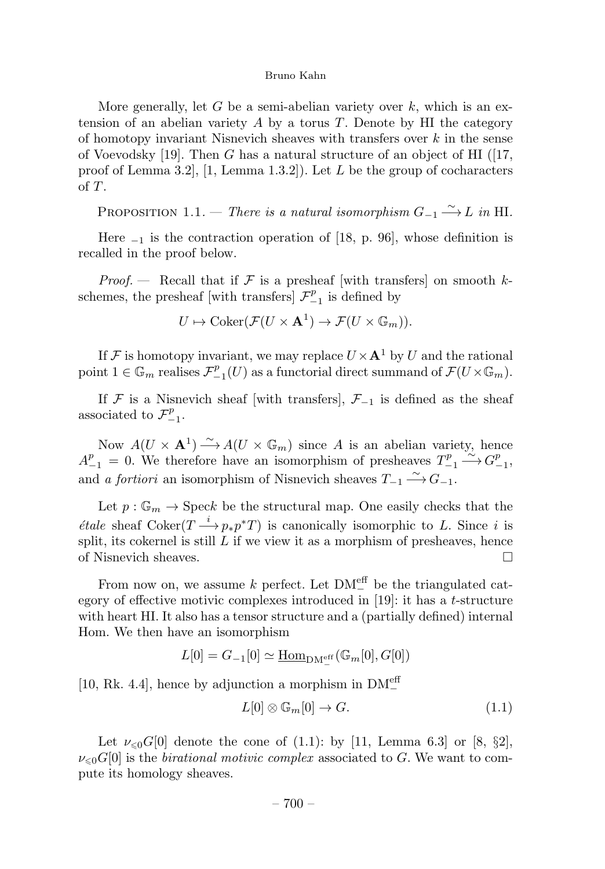More generally, let G be a semi-abelian variety over  $k$ , which is an extension of an abelian variety  $A$  by a torus  $T$ . Denote by HI the category of homotopy invariant Nisnevich sheaves with transfers over  $k$  in the sense of Voevodsky [19]. Then G has a natural structure of an object of HI ([17, proof of Lemma 3.2,  $[1, \text{Lemma } 1.3.2]$ . Let L be the group of cocharacters of T.

PROPOSITION 1.1. — There is a natural isomorphism  $G_{-1} \xrightarrow{\sim} L$  in HI.

Here  $_{-1}$  is the contraction operation of [18, p. 96], whose definition is recalled in the proof below.

*Proof.* — Recall that if  $\mathcal F$  is a presheaf [with transfers] on smooth kschemes, the presheaf [with transfers]  $\mathcal{F}^p_{-1}$  is defined by

$$
U \mapsto \mathrm{Coker}(\mathcal{F}(U \times \mathbf{A}^1) \to \mathcal{F}(U \times \mathbb{G}_m)).
$$

If F is homotopy invariant, we may replace  $U \times A^1$  by U and the rational point  $1 \in \mathbb{G}_m$  realises  $\mathcal{F}_{-1}^p(U)$  as a functorial direct summand of  $\mathcal{F}(U \times \mathbb{G}_m)$ .

If F is a Nisnevich sheaf [with transfers],  $\mathcal{F}_{-1}$  is defined as the sheaf associated to  $\mathcal{F}_{-1}^p$ .

Now  $A(U \times A^1) \longrightarrow A(U \times \mathbb{G}_m)$  since A is an abelian variety, hence  $A_{-1}^p = 0$ . We therefore have an isomorphism of presheaves  $T_{-1}^p \xrightarrow{\sim} G_{-1}^p$ , and *a fortiori* an isomorphism of Nisnevich sheaves  $T_{-1} \xrightarrow{\sim} G_{-1}$ .

Let  $p : \mathbb{G}_m \to \text{Spec} k$  be the structural map. One easily checks that the *étale* sheaf  $\text{Coker}(T \longrightarrow p_*p^*T)$  is canonically isomorphic to L. Since i is split, its cokernel is still  $L$  if we view it as a morphism of presheaves, hence of Nisnevich sheaves.

From now on, we assume k perfect. Let  $DM_{-}^{\text{eff}}$  be the triangulated category of effective motivic complexes introduced in  $[19]$ : it has a t-structure with heart HI. It also has a tensor structure and a (partially defined) internal Hom. We then have an isomorphism

$$
L[0] = G_{-1}[0] \simeq \underline{\text{Hom}}_{\text{DM}^{\text{eff}}_{-}}(\mathbb{G}_m[0], G[0])
$$

[10, Rk. 4.4], hence by adjunction a morphism in  $DM_{-}^{\text{eff}}$ 

$$
L[0] \otimes \mathbb{G}_m[0] \to G. \tag{1.1}
$$

Let  $\nu_{\leq 0} G[0]$  denote the cone of (1.1): by [11, Lemma 6.3] or [8, §2],  $\nu_{\leq 0} G[0]$  is the *birational motivic complex* associated to G. We want to compute its homology sheaves.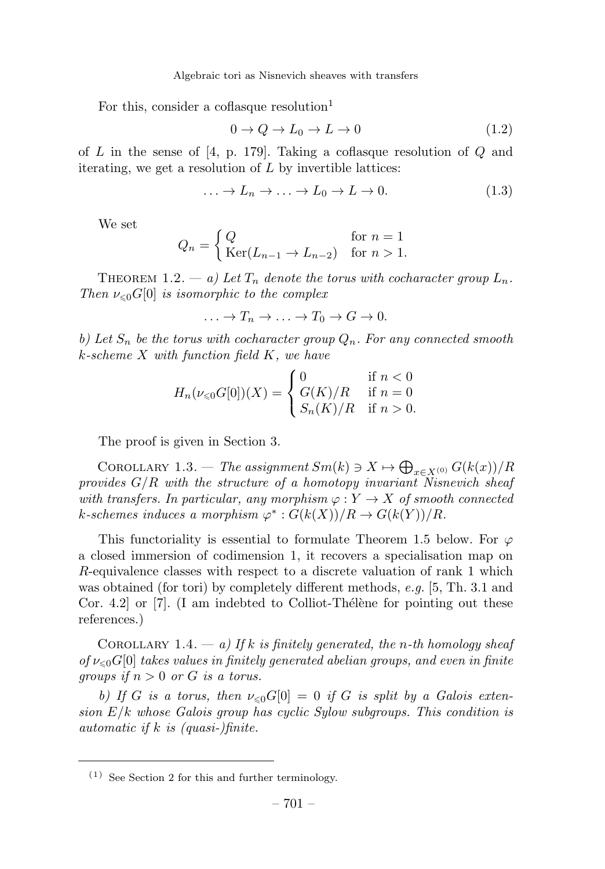For this, consider a coflasque resolution<sup>1</sup>

$$
0 \to Q \to L_0 \to L \to 0 \tag{1.2}
$$

of L in the sense of  $[4, p. 179]$ . Taking a coflasque resolution of Q and iterating, we get a resolution of  $L$  by invertible lattices:

$$
\ldots \to L_n \to \ldots \to L_0 \to L \to 0. \tag{1.3}
$$

We set

$$
Q_n = \begin{cases} Q & \text{for } n = 1\\ \text{Ker}(L_{n-1} \to L_{n-2}) & \text{for } n > 1. \end{cases}
$$

THEOREM 1.2. — a) Let  $T_n$  denote the torus with cocharacter group  $L_n$ . Then  $\nu_{\leq 0} G[0]$  is isomorphic to the complex

$$
\ldots \to T_n \to \ldots \to T_0 \to G \to 0.
$$

b) Let  $S_n$  be the torus with cocharacter group  $Q_n$ . For any connected smooth k-scheme X with function field K, we have

$$
H_n(\nu_{\leq 0}G[0])(X) = \begin{cases} 0 & \text{if } n < 0\\ G(K)/R & \text{if } n = 0\\ S_n(K)/R & \text{if } n > 0. \end{cases}
$$

The proof is given in Section 3.

COROLLARY 1.3. — The assignment  $Sm(k) \ni X \mapsto \bigoplus_{x \in X^{(0)}} G(k(x))/R$ provides  $G/R$  with the structure of a homotopy invariant Nisnevich sheaf with transfers. In particular, any morphism  $\varphi: Y \to X$  of smooth connected k-schemes induces a morphism  $\varphi^* : G(k(X))/R \to G(k(Y))/R$ .

This functoriality is essential to formulate Theorem 1.5 below. For  $\varphi$ a closed immersion of codimension 1, it recovers a specialisation map on R-equivalence classes with respect to a discrete valuation of rank 1 which was obtained (for tori) by completely different methods,  $e.g.$  [5, Th. 3.1 and Cor. 4.2 or  $[7]$ . (I am indebted to Colliot-Thélène for pointing out these references.)

COROLLARY 1.4. — a) If k is finitely generated, the n-th homology sheaf of  $\nu_{\leq 0} G[0]$  takes values in finitely generated abelian groups, and even in finite groups if  $n > 0$  or G is a torus.

b) If G is a torus, then  $\nu_{\leq 0} G[0] = 0$  if G is split by a Galois extension  $E/k$  whose Galois group has cyclic Sylow subgroups. This condition is automatic if  $k$  is (quasi-)finite.

 $(1)$  See Section 2 for this and further terminology.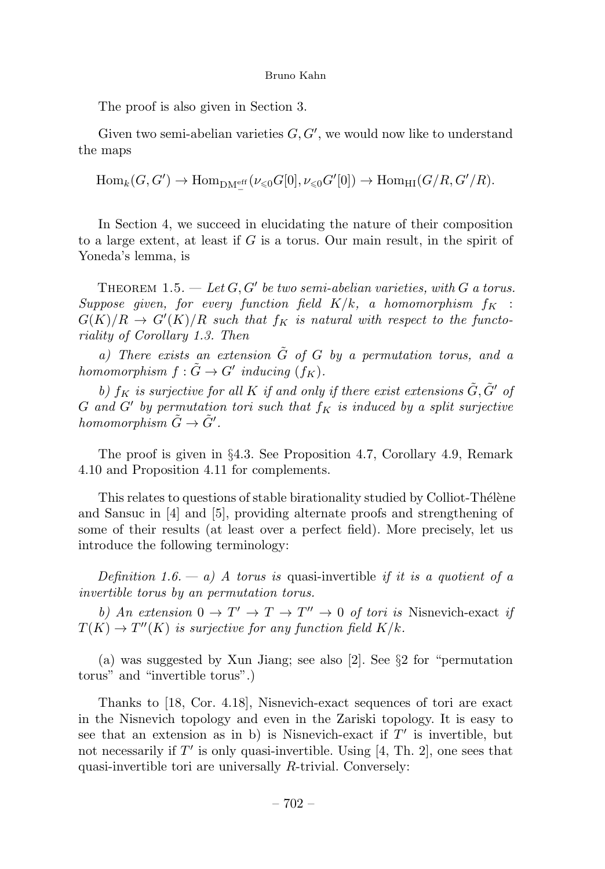The proof is also given in Section 3.

Given two semi-abelian varieties  $G, G'$ , we would now like to understand the maps

 $\text{Hom}_k(G, G') \to \text{Hom}_{\text{DM}_{-}^{\text{eff}}}(\nu_{\leq 0}G[0], \nu_{\leq 0}G'[0]) \to \text{Hom}_{\text{HI}}(G/R, G'/R).$ 

In Section 4, we succeed in elucidating the nature of their composition to a large extent, at least if G is a torus. Our main result, in the spirit of Yoneda's lemma, is

THEOREM 1.5.  $-$  Let G, G' be two semi-abelian varieties, with G a torus. Suppose given, for every function field  $K/k$ , a homomorphism  $f_K$ :  $G(K)/R \rightarrow G'(K)/R$  such that  $f_K$  is natural with respect to the functoriality of Corollary 1.3. Then

a) There exists an extension  $\tilde{G}$  of  $G$  by a permutation torus, and a homomorphism  $f : \tilde{G} \to G'$  inducing  $(f_K)$ .

b)  $f_K$  is surjective for all K if and only if there exist extensions  $\tilde{G}, \tilde{G}'$  of G and G' by permutation tori such that  $f_K$  is induced by a split surjective homomorphism  $\tilde{G} \to \tilde{G}'$ .

The proof is given in §4.3. See Proposition 4.7, Corollary 4.9, Remark 4.10 and Proposition 4.11 for complements.

This relates to questions of stable birationality studied by Colliot-Thélène and Sansuc in  $[4]$  and  $[5]$ , providing alternate proofs and strengthening of some of their results (at least over a perfect field). More precisely, let us introduce the following terminology:

Definition 1.6.  $- a$ ) A torus is quasi-invertible if it is a quotient of a invertible torus by an permutation torus.

b) An extension  $0 \to T' \to T \to T'' \to 0$  of tori is Nisnevich-exact if  $T(K) \to T''(K)$  is surjective for any function field  $K/k$ .

(a) was suggested by Xun Jiang; see also [2]. See §2 for "permutation torus" and "invertible torus".)

Thanks to [18, Cor. 4.18], Nisnevich-exact sequences of tori are exact in the Nisnevich topology and even in the Zariski topology. It is easy to see that an extension as in b) is Nisnevich-exact if  $T'$  is invertible, but not necessarily if  $T'$  is only quasi-invertible. Using [4, Th. 2], one sees that quasi-invertible tori are universally R-trivial. Conversely: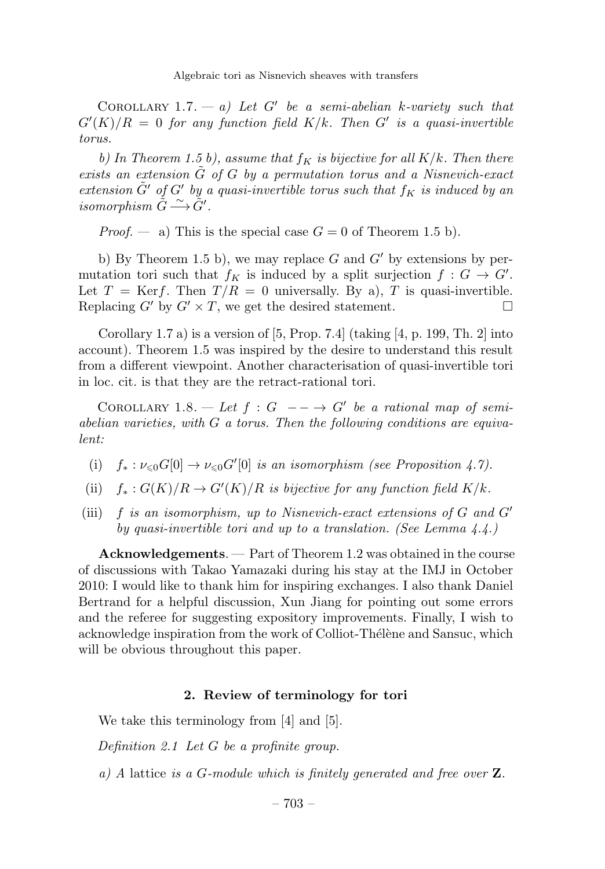COROLLARY 1.7. — a) Let G' be a semi-abelian k-variety such that  $G^{\prime}(K)/R = 0$  for any function field  $K/k$ . Then  $G^{\prime}$  is a quasi-invertible torus.

b) In Theorem 1.5 b), assume that  $f_K$  is bijective for all  $K/k$ . Then there exists an extension  $\tilde{G}$  of G by a permutation torus and a Nisnevich-exact extension  $\tilde{G}'$  of  $G'$  by a quasi-invertible torus such that  $f_K$  is induced by an isomorphism  $\tilde{G} \stackrel{\sim}{\longrightarrow} \tilde{G}'$ .

*Proof.* — a) This is the special case  $G = 0$  of Theorem 1.5 b).

b) By Theorem 1.5 b), we may replace G and  $G'$  by extensions by permutation tori such that  $f_K$  is induced by a split surjection  $f : G \to G'$ . Let  $T = \text{Ker }f$ . Then  $T/R = 0$  universally. By a), T is quasi-invertible. Replacing  $G'$  by  $G' \times T$ , we get the desired statement.

Corollary 1.7 a) is a version of  $[5, Prop. 7.4]$  (taking  $[4, p. 199, Th. 2]$  into account). Theorem 1.5 was inspired by the desire to understand this result from a different viewpoint. Another characterisation of quasi-invertible tori in loc. cit. is that they are the retract-rational tori.

COROLLARY 1.8. — Let  $f: G \longrightarrow G'$  be a rational map of semiabelian varieties, with  $G$  a torus. Then the following conditions are equivalent:

- (i)  $f_*: \nu_{\leq 0} G[0] \to \nu_{\leq 0} G'[0]$  is an isomorphism (see Proposition 4.7).
- (ii)  $f_*: G(K)/R \to G'(K)/R$  is bijective for any function field  $K/k$ .
- (iii)  $f$  is an isomorphism, up to Nisnevich-exact extensions of  $G$  and  $G'$ by quasi-invertible tori and up to a translation. (See Lemma  $4.4.$ )

Acknowledgements. — Part of Theorem 1.2 was obtained in the course of discussions with Takao Yamazaki duringhis stay at the IMJ in October 2010: I would like to thank him for inspiring exchanges. I also thank Daniel Bertrand for a helpful discussion, Xun Jiang for pointing out some errors and the referee for suggesting expository improvements. Finally, I wish to acknowledge inspiration from the work of Colliot-Thélène and Sansuc, which will be obvious throughout this paper.

#### 2. Review of terminology for tori

We take this terminology from [4] and [5].

Definition 2.1 Let G be a profinite group.

a) A lattice is a G-module which is finitely generated and free over  $\mathbf{Z}$ .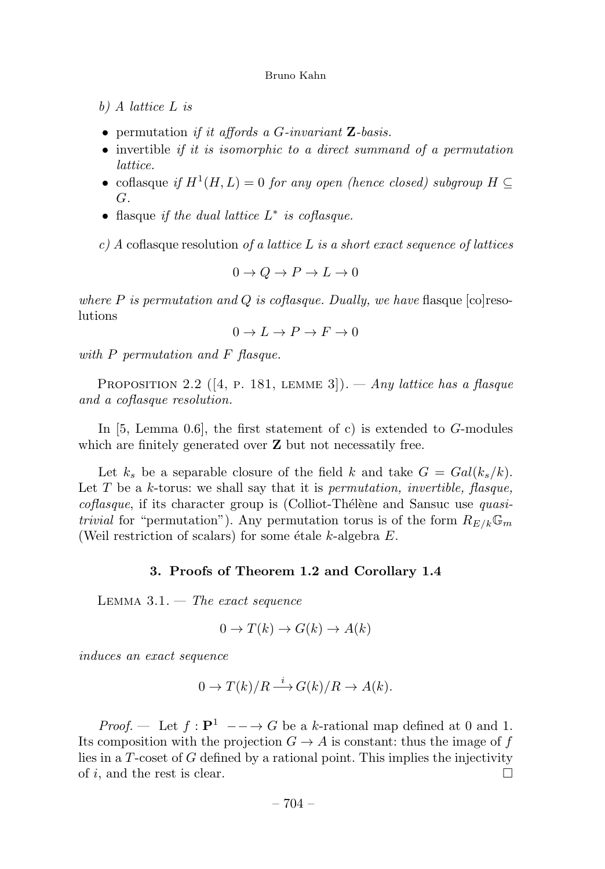- b) A lattice L is
- permutation if it affords a  $G$ -invariant  $\mathbf{Z}$ -basis.
- invertible *if it is isomorphic to a direct summand of a permutation* lattice.
- coflasque if  $H^1(H, L) = 0$  for any open (hence closed) subgroup  $H \subseteq$ G.
- flasque if the dual lattice  $L^*$  is coflasque.

 $c)$  A coflasque resolution of a lattice L is a short exact sequence of lattices

$$
0 \to Q \to P \to L \to 0
$$

where P is permutation and Q is coffasque. Dually, we have flasque  $[colreso$ lutions

$$
0 \to L \to P \to F \to 0
$$

with  $P$  permutation and  $F$  flasque.

PROPOSITION 2.2 ([4, p. 181, LEMME 3]). — Any lattice has a flasque and a coflasque resolution.

In [5, Lemma 0.6], the first statement of c) is extended to G-modules which are finitely generated over **Z** but not necessatily free.

Let  $k_s$  be a separable closure of the field k and take  $G = Gal(k_s/k)$ . Let  $T$  be a k-torus: we shall say that it is *permutation, invertible, flasque,*  $coflasque$ , if its character group is (Colliot-Thélène and Sansuc use quasitrivial for "permutation"). Any permutation torus is of the form  $R_{E/k}\mathbb{G}_m$ (Weil restriction of scalars) for some étale k-algebra  $E$ .

#### 3. Proofs of Theorem 1.2 and Corollary 1.4

LEMMA  $3.1.$  – The exact sequence

$$
0 \to T(k) \to G(k) \to A(k)
$$

induces an exact sequence

$$
0 \to T(k)/R \xrightarrow{i} G(k)/R \to A(k).
$$

*Proof.* — Let  $f : \mathbf{P}^1 \longrightarrow G$  be a k-rational map defined at 0 and 1. Its composition with the projection  $G \to A$  is constant: thus the image of f lies in a T-coset of G defined by a rational point. This implies the injectivity of i, and the rest is clear.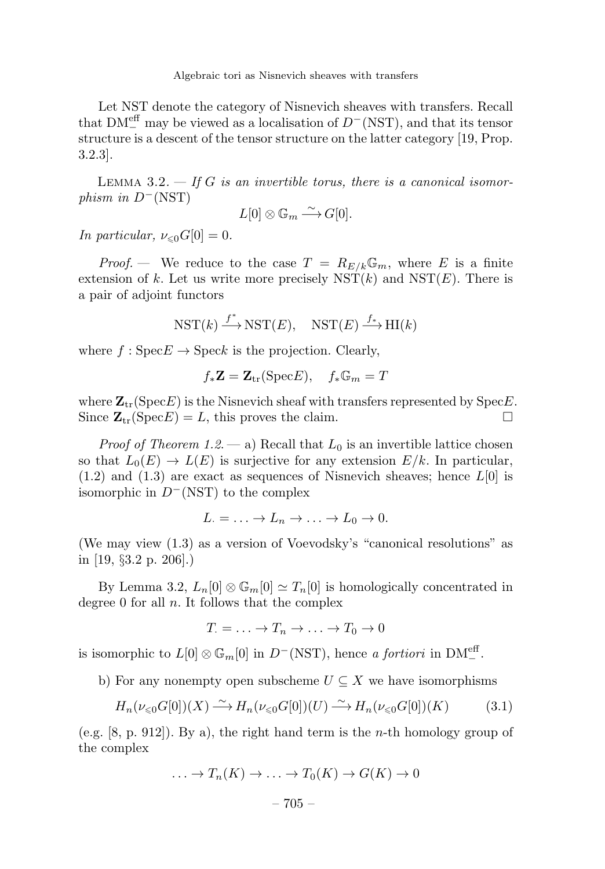Let NST denote the category of Nisnevich sheaves with transfers. Recall that  $DM_{-}^{\text{eff}}$  may be viewed as a localisation of  $D^{-}(\text{NST})$ , and that its tensor structure is a descent of the tensor structure on the latter category [19, Prop. 3.2.3].

LEMMA 3.2.  $-$  If G is an invertible torus, there is a canonical isomorphism in  $D^{-}$ (NST)

$$
L[0] \otimes \mathbb{G}_m \longrightarrow G[0].
$$

In particular,  $\nu_{\leq 0} G[0] = 0$ .

*Proof.* — We reduce to the case  $T = R_{E/k} \mathbb{G}_m$ , where E is a finite extension of k. Let us write more precisely  $\operatorname{NST}(k)$  and  $\operatorname{NST}(E)$ . There is a pair of adjoint functors

$$
\mathrm{NST}(k) \stackrel{f^*}{\longrightarrow} \mathrm{NST}(E), \quad \mathrm{NST}(E) \stackrel{f_*}{\longrightarrow} \mathrm{HI}(k)
$$

where  $f : \text{Spec} E \to \text{Spec} k$  is the projection. Clearly,

$$
f_* \mathbf{Z} = \mathbf{Z}_{tr}(\text{Spec} E), \quad f_* \mathbb{G}_m = T
$$

where  $\mathbf{Z}_{tr}(\text{Spec } E)$  is the Nisnevich sheaf with transfers represented by Spec $E$ . Since  $\mathbf{Z}_{tr}(\text{Spec } E) = L$ , this proves the claim.

*Proof of Theorem 1.2.* — a) Recall that  $L_0$  is an invertible lattice chosen so that  $L_0(E) \to L(E)$  is surjective for any extension  $E/k$ . In particular,  $(1.2)$  and  $(1.3)$  are exact as sequences of Nisnevich sheaves; hence  $L[0]$  is isomorphic in  $D^{-}(NST)$  to the complex

 $L = \ldots \to L_n \to \ldots \to L_0 \to 0.$ 

(We may view (1.3) as a version of Voevodsky's "canonical resolutions" as in [19, §3.2 p. 206].)

By Lemma 3.2,  $L_n[0] \otimes \mathbb{G}_m[0] \simeq T_n[0]$  is homologically concentrated in degree  $0$  for all  $n$ . It follows that the complex

$$
T = \ldots \to T_n \to \ldots \to T_0 \to 0
$$

is isomorphic to  $L[0] \otimes \mathbb{G}_m[0]$  in  $D^-(\text{NST})$ , hence a fortiori in  $\text{DM}^{\text{eff}}_-$ .

b) For any nonempty open subscheme  $U \subseteq X$  we have isomorphisms

$$
H_n(\nu_{\leq 0}G[0])(X) \xrightarrow{\sim} H_n(\nu_{\leq 0}G[0])(U) \xrightarrow{\sim} H_n(\nu_{\leq 0}G[0])(K) \tag{3.1}
$$

(e.g.  $[8, p. 912]$ ). By a), the right hand term is the *n*-th homology group of the complex

$$
\ldots \to T_n(K) \to \ldots \to T_0(K) \to G(K) \to 0
$$

$$
-705-
$$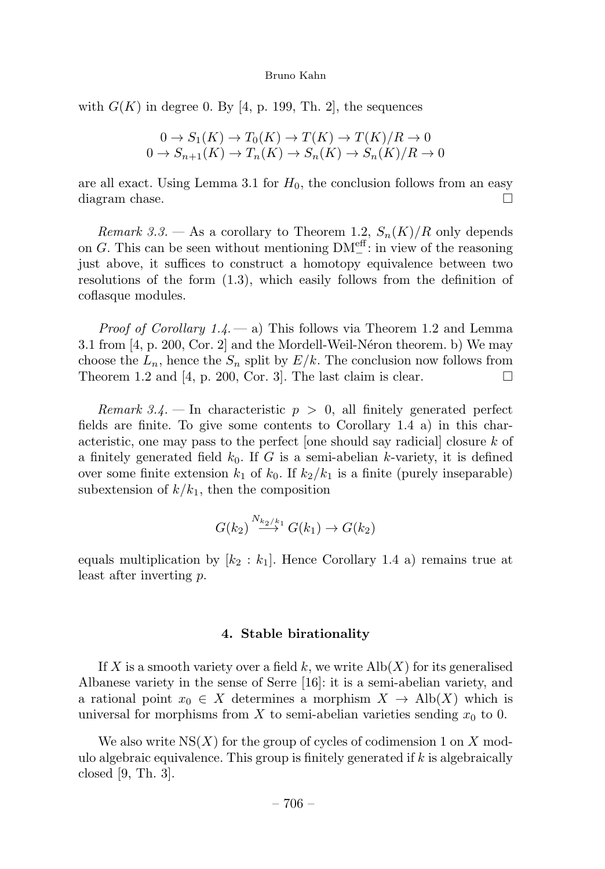with  $G(K)$  in degree 0. By [4, p. 199, Th. 2], the sequences

$$
0 \to S_1(K) \to T_0(K) \to T(K) \to T(K)/R \to 0
$$
  

$$
0 \to S_{n+1}(K) \to T_n(K) \to S_n(K) \to S_n(K)/R \to 0
$$

are all exact. Using Lemma 3.1 for  $H_0$ , the conclusion follows from an easy diagram chase.

Remark 3.3. — As a corollary to Theorem 1.2,  $S_n(K)/R$  only depends on G. This can be seen without mentioning  $DM^{\text{eff}}_{-}$ : in view of the reasoning just above, it suffices to construct a homotopy equivalence between two resolutions of the form (1.3), which easily follows from the definition of coflasque modules.

*Proof of Corollary 1.4.*  $-$  a) This follows via Theorem 1.2 and Lemma 3.1 from  $[4, p. 200, Cor. 2]$  and the Mordell-Weil-Néron theorem. b) We may choose the  $L_n$ , hence the  $S_n$  split by  $E/k$ . The conclusion now follows from Theorem 1.2 and [4, p. 200, Cor. 3]. The last claim is clear.  $\square$ 

Remark 3.4. – In characteristic  $p > 0$ , all finitely generated perfect fields are finite. To give some contents to Corollary 1.4 a) in this characteristic, one may pass to the perfect [one should say radicial] closure k of a finitely generated field  $k_0$ . If G is a semi-abelian k-variety, it is defined over some finite extension  $k_1$  of  $k_0$ . If  $k_2/k_1$  is a finite (purely inseparable) subextension of  $k/k_1$ , then the composition

$$
G(k_2) \stackrel{N_{k_2/k_1}}{\longrightarrow} G(k_1) \longrightarrow G(k_2)
$$

equals multiplication by  $[k_2 : k_1]$ . Hence Corollary 1.4 a) remains true at least after inverting p.

#### 4. Stable birationality

If X is a smooth variety over a field k, we write  $\mathrm{Alb}(X)$  for its generalised Albanese variety in the sense of Serre [16]: it is a semi-abelian variety, and a rational point  $x_0 \in X$  determines a morphism  $X \to Alb(X)$  which is universal for morphisms from X to semi-abelian varieties sending  $x_0$  to 0.

We also write  $NS(X)$  for the group of cycles of codimension 1 on X modulo algebraic equivalence. This group is finitely generated if  $k$  is algebraically closed [9, Th. 3].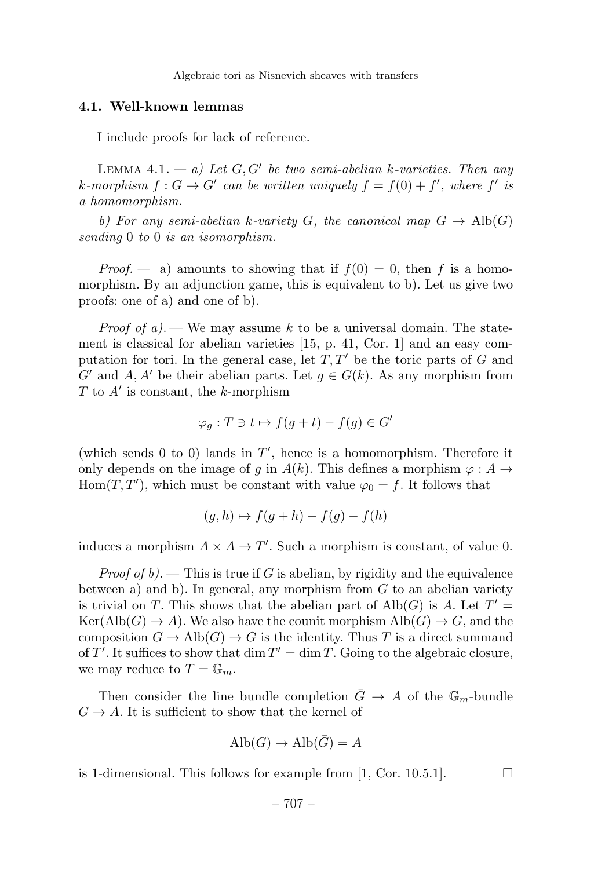#### 4.1. Well-known lemmas

I include proofs for lack of reference.

LEMMA 4.1. — a) Let  $G, G'$  be two semi-abelian k-varieties. Then any k-morphism  $f: G \to G'$  can be written uniquely  $f = f(0) + f'$ , where  $f'$  is a homomorphism.

b) For any semi-abelian k-variety G, the canonical map  $G \to Alb(G)$ sending 0 to 0 is an isomorphism.

*Proof.* — a) amounts to showing that if  $f(0) = 0$ , then f is a homomorphism. By an adjunction game, this is equivalent to b). Let us give two proofs: one of a) and one of b).

*Proof of a)*. — We may assume k to be a universal domain. The statement is classical for abelian varieties [15, p. 41, Cor. 1] and an easy computation for tori. In the general case, let  $T, T'$  be the toric parts of G and G' and A, A' be their abelian parts. Let  $g \in G(k)$ . As any morphism from  $T$  to  $A'$  is constant, the k-morphism

$$
\varphi_g: T \ni t \mapsto f(g+t) - f(g) \in G'
$$

(which sends 0 to 0) lands in  $T'$ , hence is a homomorphism. Therefore it only depends on the image of g in  $A(k)$ . This defines a morphism  $\varphi : A \to$  $\underline{\text{Hom}}(T, T')$ , which must be constant with value  $\varphi_0 = f$ . It follows that

$$
(g,h)\mapsto f(g+h)-f(g)-f(h)
$$

induces a morphism  $A \times A \to T'$ . Such a morphism is constant, of value 0.

*Proof of b*). — This is true if G is abelian, by rigidity and the equivalence between a) and b). In general, any morphism from  $G$  to an abelian variety is trivial on T. This shows that the abelian part of  $\text{Alb}(G)$  is A. Let  $T' =$  $\text{Ker}(\text{Alb}(G) \to A)$ . We also have the counit morphism  $\text{Alb}(G) \to G$ , and the composition  $G \to Alb(G) \to G$  is the identity. Thus T is a direct summand of T'. It suffices to show that  $\dim T' = \dim T$ . Going to the algebraic closure, we may reduce to  $T = \mathbb{G}_m$ .

Then consider the line bundle completion  $\bar{G} \rightarrow A$  of the  $\mathbb{G}_m$ -bundle  $G \rightarrow A$ . It is sufficient to show that the kernel of

$$
\text{Alb}(G) \to \text{Alb}(\bar{G}) = A
$$

is 1-dimensional. This follows for example from [1, Cor. 10.5.1].  $\Box$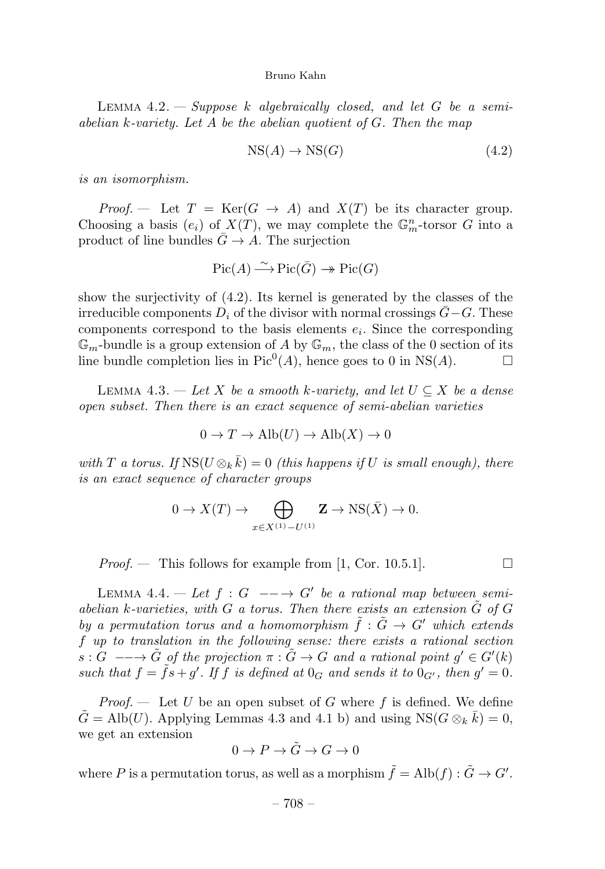LEMMA  $4.2.$  - Suppose k algebraically closed, and let G be a semiabelian k-variety. Let A be the abelian quotient of  $G$ . Then the map

$$
NS(A) \to NS(G) \tag{4.2}
$$

is an isomorphism.

*Proof.* — Let  $T = \text{Ker}(G \to A)$  and  $X(T)$  be its character group. Choosing a basis  $(e_i)$  of  $X(T)$ , we may complete the  $\mathbb{G}_m^n$ -torsor G into a product of line bundles  $\bar{G} \to A$ . The surjection

$$
\operatorname{Pic}(A) \stackrel{\sim}{\longrightarrow} \operatorname{Pic}(\bar{G}) \twoheadrightarrow \operatorname{Pic}(G)
$$

show the surjectivity of (4.2). Its kernel is generated by the classes of the irreducible components  $D_i$  of the divisor with normal crossings  $\bar{G}-G$ . These components correspond to the basis elements  $e_i$ . Since the corresponding  $\mathbb{G}_m$ -bundle is a group extension of A by  $\mathbb{G}_m$ , the class of the 0 section of its line bundle completion lies in  $Pic^0(A)$ , hence goes to 0 in NS(A).

LEMMA 4.3. — Let X be a smooth k-variety, and let  $U \subseteq X$  be a dense open subset. Then there is an exact sequence of semi-abelian varieties

$$
0 \to T \to \text{Alb}(U) \to \text{Alb}(X) \to 0
$$

with T a torus. If  $\text{NS}(U \otimes_k \bar{k})=0$  (this happens if U is small enough), there is an exact sequence of character groups

$$
0 \to X(T) \to \bigoplus_{x \in X^{(1)} - U^{(1)}} \mathbf{Z} \to \text{NS}(\bar{X}) \to 0.
$$

*Proof.* — This follows for example from [1, Cor. 10.5.1].  $\Box$ 

LEMMA 4.4. — Let  $f: G \longrightarrow G'$  be a rational map between semiabelian k-varieties, with  $G$  a torus. Then there exists an extension  $\tilde{G}$  of  $G$ by a permutation torus and a homomorphism  $\tilde{f}: \tilde{G} \to G'$  which extends f up to translation in the following sense: there exists a rational section  $s: G \longrightarrow \tilde{G}$  of the projection  $\pi: \tilde{G} \to G$  and a rational point  $g' \in G'(k)$ such that  $f = \tilde{f}s + g'$ . If f is defined at  $0_G$  and sends it to  $0_{G'}$ , then  $g' = 0$ .

*Proof.*  $\longrightarrow$  Let U be an open subset of G where f is defined. We define  $\tilde{G} = \text{Alb}(U)$ . Applying Lemmas 4.3 and 4.1 b) and using  $\text{NS}(G \otimes_k \bar{k}) = 0$ , we get an extension

$$
0 \to P \to \tilde{G} \to G \to 0
$$

where P is a permutation torus, as well as a morphism  $\tilde{f} = \text{Alb}(f) : \tilde{G} \to G'.$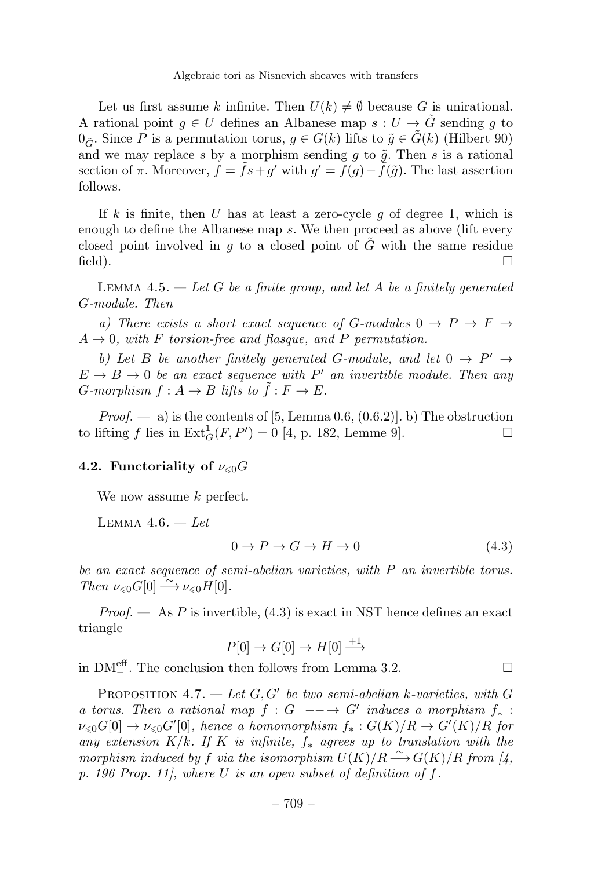Let us first assume k infinite. Then  $U(k) \neq \emptyset$  because G is unirational. A rational point  $g \in U$  defines an Albanese map  $s: U \to \tilde{G}$  sending g to  $0_{\tilde{G}}$ . Since P is a permutation torus,  $g \in G(k)$  lifts to  $\tilde{g} \in \tilde{G}(k)$  (Hilbert 90) and we may replace s by a morphism sending  $g$  to  $\tilde{g}$ . Then s is a rational section of  $\pi$ . Moreover,  $f = fs + q'$  with  $q' = f(q) - \tilde{f}(\tilde{q})$ . The last assertion follows.

If k is finite, then U has at least a zero-cycle q of degree 1, which is enough to define the Albanese map s. We then proceed as above (lift every closed point involved in q to a closed point of  $\tilde{G}$  with the same residue field).  $\Box$ 

LEMMA 4.5.  $-$  Let G be a finite group, and let A be a finitely generated G-module. Then

a) There exists a short exact sequence of G-modules  $0 \rightarrow P \rightarrow F \rightarrow$  $A \rightarrow 0$ , with F torsion-free and flasque, and P permutation.

b) Let B be another finitely generated G-module, and let  $0 \rightarrow P' \rightarrow$  $E \rightarrow B \rightarrow 0$  be an exact sequence with P' an invertible module. Then any G-morphism  $f: A \to B$  lifts to  $\tilde{f}: F \to E$ .

*Proof.*  $\rightarrow$  a) is the contents of [5, Lemma 0.6, (0.6.2)]. b) The obstruction to lifting f lies in  $\text{Ext}_G^1(F, P') = 0$  [4, p. 182, Lemme 9].

## 4.2. Functoriality of  $\nu_{\leqslant 0} G$

We now assume  $k$  perfect.

LEMMA  $4.6. - Let$ 

$$
0 \to P \to G \to H \to 0 \tag{4.3}
$$

be an exact sequence of semi-abelian varieties, with P an invertible torus. Then  $\nu_{\leq 0} G[0] \longrightarrow \nu_{\leq 0} H[0].$ 

*Proof.*  $\leftarrow$  As P is invertible, (4.3) is exact in NST hence defines an exact triangle

$$
P[0] \to G[0] \to H[0] \xrightarrow{+1}
$$

in  $DM^{\text{eff}}_{-}$ . The conclusion then follows from Lemma 3.2.  $□$ 

PROPOSITION 4.7. — Let  $G, G'$  be two semi-abelian k-varieties, with G a torus. Then a rational map  $f : G \longrightarrow G'$  induces a morphism  $f_*$ :  $\nu_{\leqslant 0} G[0] \to \nu_{\leqslant 0} G'[0],$  hence a homomorphism  $f_*: G(K)/R \to G'(K)/R$  for any extension  $K/k$ . If K is infinite,  $f_*$  agrees up to translation with the morphism induced by f via the isomorphism  $U(K)/R \stackrel{\sim}{\longrightarrow} G(K)/R$  from [4, p. 196 Prop. 11], where  $U$  is an open subset of definition of  $f$ .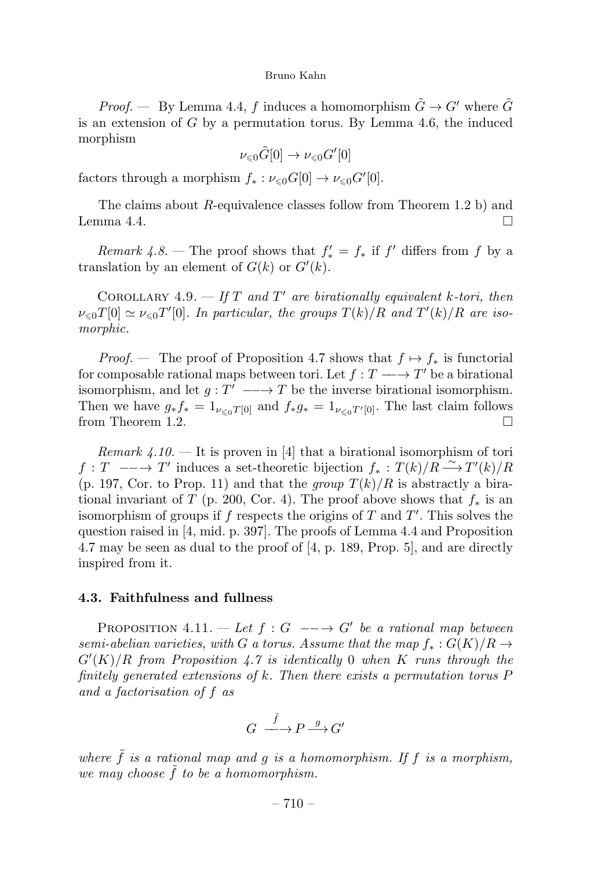*Proof.* — By Lemma 4.4, f induces a homomorphism  $\tilde{G} \to G'$  where  $\tilde{G}$ is an extension of  $G$  by a permutation torus. By Lemma 4.6, the induced morphism

$$
\nu_{\leq 0}\tilde{G}[0] \to \nu_{\leq 0}G'[0]
$$

factors through a morphism  $f_* : \nu_{\leq 0} G[0] \to \nu_{\leq 0} G'[0].$ 

The claims about R-equivalence classes follow from Theorem 1.2 b) and Lemma 4.4.

Remark  $4.8$  – The proof shows that  $f'_{*} = f_{*}$  if  $f'$  differs from f by a translation by an element of  $G(k)$  or  $G'(k)$ .

COROLLARY 4.9. — If T and T' are birationally equivalent k-tori, then  $\nu_{\leq 0}T[0] \simeq \nu_{\leq 0}T'[0]$ . In particular, the groups  $T(k)/R$  and  $T'(k)/R$  are isomorphic.

*Proof.* — The proof of Proposition 4.7 shows that  $f \mapsto f_*$  is functorial for composable rational maps between tori. Let  $f : T \longrightarrow T'$  be a birational isomorphism, and let  $g: T' \longrightarrow T$  be the inverse birational isomorphism. Then we have  $g_* f_* = 1_{\nu \leq 0} T[0]$  and  $f_* g_* = 1_{\nu \leq 0} T'[0]$ . The last claim follows from Theorem 1.2.  $\Box$ 

*Remark 4.10.* — It is proven in [4] that a birational isomorphism of tori  $f: T \longrightarrow T'$  induces a set-theoretic bijection  $f_*: T(k)/R \longrightarrow T'(k)/R$ (p. 197, Cor. to Prop. 11) and that the group  $T(k)/R$  is abstractly a birational invariant of T (p. 200, Cor. 4). The proof above shows that  $f_*$  is an isomorphism of groups if  $f$  respects the origins of  $T$  and  $T'$ . This solves the question raised in [4, mid. p. 397]. The proofs of Lemma 4.4 and Proposition 4.7 may be seen as dual to the proof of [4, p. 189, Prop. 5], and are directly inspired from it.

#### 4.3. Faithfulness and fullness

PROPOSITION 4.11. — Let  $f : G \longrightarrow G'$  be a rational map between semi-abelian varieties, with G a torus. Assume that the map  $f_*: G(K)/R \to$  $G'(K)/R$  from Proposition 4.7 is identically 0 when K runs through the finitely generated extensions of k. Then there exists a permutation torus P and a factorisation of f as

$$
G \xrightarrow{\tilde{f}} P \xrightarrow{g} G'
$$

where  $\tilde{f}$  is a rational map and g is a homomorphism. If f is a morphism, we may choose  $\tilde{f}$  to be a homomorphism.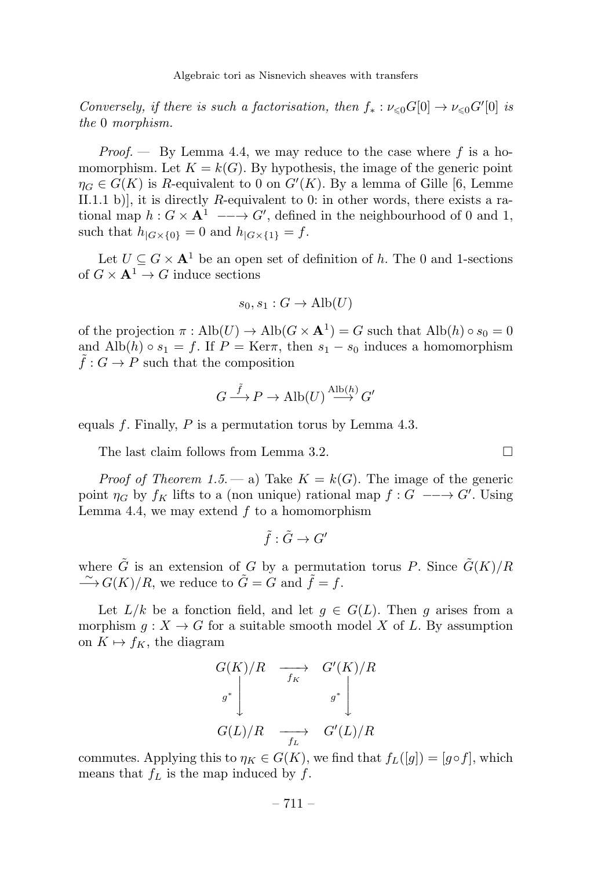Conversely, if there is such a factorisation, then  $f_* : \nu_{\leq 0} G[0] \to \nu_{\leq 0} G'[0]$  is the 0 morphism.

*Proof.*  $\rightarrow$  By Lemma 4.4, we may reduce to the case where f is a homomorphism. Let  $K = k(G)$ . By hypothesis, the image of the generic point  $\eta_G \in G(K)$  is R-equivalent to 0 on  $G'(K)$ . By a lemma of Gille [6, Lemme II.1.1 b), it is directly R-equivalent to 0: in other words, there exists a rational map  $h: G \times \mathbf{A}^1 \longrightarrow G'$ , defined in the neighbourhood of 0 and 1, such that  $h_{|G\times\{0\}} = 0$  and  $h_{|G\times\{1\}} = f$ .

Let  $U \subseteq G \times \mathbf{A}^1$  be an open set of definition of h. The 0 and 1-sections of  $G \times \mathbf{A}^1 \to G$  induce sections

$$
s_0, s_1 : G \to \text{Alb}(U)
$$

of the projection  $\pi : Alb(U) \to Alb(G \times A^1) = G$  such that  $Alb(h) \circ s_0 = 0$ and Alb(h)  $\circ s_1 = f$ . If  $P = \text{Ker}\pi$ , then  $s_1 - s_0$  induces a homomorphism  $\tilde{f}: G \to P$  such that the composition

$$
G \stackrel{\tilde{f}}{\longrightarrow} P \to \text{Alb}(U) \stackrel{\text{Alb}(h)}{\longrightarrow} G'
$$

equals f. Finally,  $P$  is a permutation torus by Lemma 4.3.

The last claim follows from Lemma 3.2.  $\Box$ 

*Proof of Theorem 1.5.* — a) Take  $K = k(G)$ . The image of the generic point  $\eta_G$  by  $f_K$  lifts to a (non unique) rational map  $f: G \longrightarrow G'$ . Using Lemma 4.4, we may extend  $f$  to a homomorphism

$$
\tilde{f} : \tilde{G} \to G'
$$

where  $\tilde{G}$  is an extension of G by a permutation torus P. Since  $\tilde{G}(K)/R$  $\longrightarrow G(K)/R$ , we reduce to  $\tilde{G} = G$  and  $\tilde{f} = f$ .

Let  $L/k$  be a fonction field, and let  $q \in G(L)$ . Then q arises from a morphism  $q: X \to G$  for a suitable smooth model X of L. By assumption on  $K \mapsto f_K$ , the diagram

$$
\begin{array}{ccc}\nG(K)/R & \xrightarrow{f_K} & G'(K)/R \\
\downarrow^{g^*} & & \downarrow^{g^*} \\
G(L)/R & \xrightarrow{f_L} & G'(L)/R\n\end{array}
$$

commutes. Applying this to  $\eta_K \in G(K)$ , we find that  $f_L([g]) = [g \circ f]$ , which means that  $f_L$  is the map induced by  $f$ .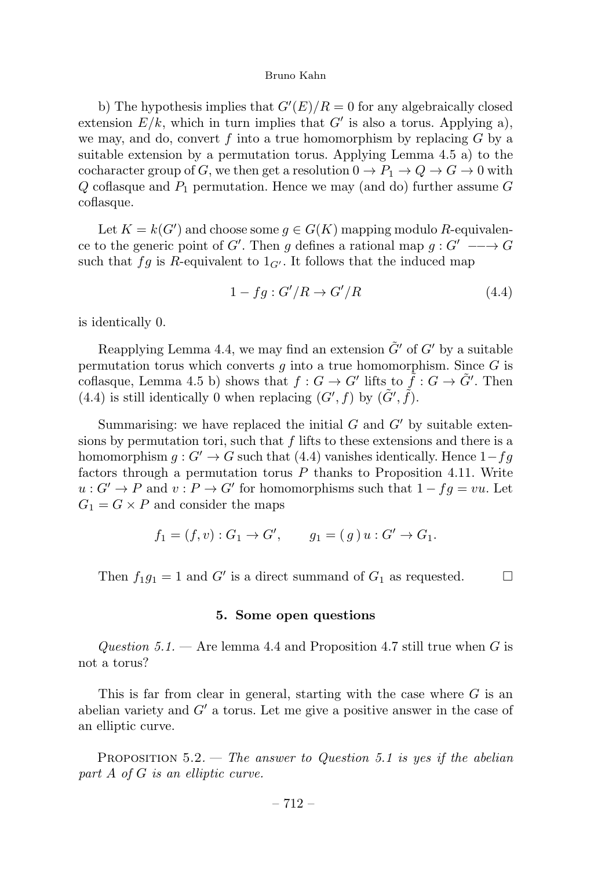b) The hypothesis implies that  $G'(E)/R = 0$  for any algebraically closed extension  $E/k$ , which in turn implies that G' is also a torus. Applying a), we may, and do, convert f into a true homomorphism by replacing  $G$  by a suitable extension by a permutation torus. Applying Lemma  $4.5$  a) to the cocharacter group of G, we then get a resolution  $0 \to P_1 \to Q \to G \to 0$  with  $Q$  coflasque and  $P_1$  permutation. Hence we may (and do) further assume  $G$ coflasque.

Let  $K = k(G')$  and choose some  $g \in G(K)$  mapping modulo R-equivalence to the generic point of G'. Then g defines a rational map  $g: G' \longrightarrow G$ such that fg is R-equivalent to  $1_{G'}$ . It follows that the induced map

$$
1 - fg : G'/R \to G'/R \tag{4.4}
$$

is identically 0.

Reapplying Lemma 4.4, we may find an extension  $\tilde{G}'$  of  $G'$  by a suitable permutation torus which converts q into a true homomorphism. Since  $G$  is coflasque, Lemma 4.5 b) shows that  $f: G \to G'$  lifts to  $\tilde{f}: G \to \tilde{G}'$ . Then (4.4) is still identically 0 when replacing  $(G', f)$  by  $(\tilde{G}', \tilde{f})$ .

Summarising: we have replaced the initial  $G$  and  $G'$  by suitable extensions by permutation tori, such that  $f$  lifts to these extensions and there is a homomorphism  $g: G' \to G$  such that (4.4) vanishes identically. Hence  $1-fg$ factors through a permutation torus  $P$  thanks to Proposition 4.11. Write  $u: G' \to P$  and  $v: P \to G'$  for homomorphisms such that  $1 - fg = vu$ . Let  $G_1 = G \times P$  and consider the maps

$$
f_1 = (f, v) : G_1 \to G', \qquad g_1 = (g) u : G' \to G_1.
$$

Then  $f_1g_1 = 1$  and G' is a direct summand of  $G_1$  as requested.  $\Box$ 

#### 5. Some open questions

Question 5.1. — Are lemma 4.4 and Proposition 4.7 still true when G is not a torus?

This is far from clear in general, starting with the case where  $G$  is an abelian variety and  $G'$  a torus. Let me give a positive answer in the case of an elliptic curve.

PROPOSITION  $5.2$ . — The answer to Question 5.1 is yes if the abelian part A of G is an elliptic curve.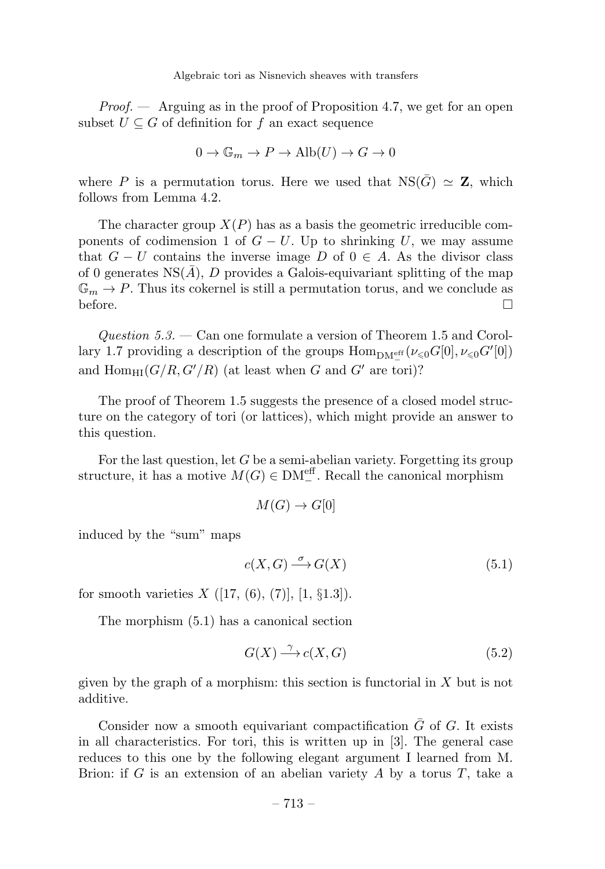*Proof.*  $\rightarrow$  Arguing as in the proof of Proposition 4.7, we get for an open subset  $U \subseteq G$  of definition for f an exact sequence

$$
0 \to \mathbb{G}_m \to P \to \text{Alb}(U) \to G \to 0
$$

where P is a permutation torus. Here we used that  $NS(\bar{G}) \simeq Z$ , which follows from Lemma 4.2.

The character group  $X(P)$  has as a basis the geometric irreducible components of codimension 1 of  $G - U$ . Up to shrinking U, we may assume that  $G - U$  contains the inverse image D of  $0 \in A$ . As the divisor class of 0 generates  $NS(A)$ , D provides a Galois-equivariant splitting of the map  $\mathbb{G}_m \to P$ . Thus its cokernel is still a permutation torus, and we conclude as before before.  $\Box$ 

Question  $5.3.$  — Can one formulate a version of Theorem 1.5 and Corollary 1.7 providing a description of the groups  $\text{Hom}_{\text{DM}^{\text{eff}}}(\nu_{\leq 0}G[0], \nu_{\leq 0}G'[0])$ and  $\text{Hom}_{\text{HI}}(G/R, G'/R)$  (at least when G and G' are tori)?

The proof of Theorem 1.5 suggests the presence of a closed model structure on the category of tori (or lattices), which might provide an answer to this question.

For the last question, let  $G$  be a semi-abelian variety. Forgetting its group structure, it has a motive  $M(G) \in DM<sup>eff</sup><sub>-</sub>$ . Recall the canonical morphism

$$
M(G) \to G[0]
$$

induced by the "sum" maps

$$
c(X, G) \xrightarrow{\sigma} G(X) \tag{5.1}
$$

for smooth varieties  $X([17, (6), (7)], [1, §1.3]).$ 

The morphism (5.1) has a canonical section

$$
G(X) \xrightarrow{\gamma} c(X, G) \tag{5.2}
$$

given by the graph of a morphism: this section is functorial in  $X$  but is not additive.

Consider now a smooth equivariant compactification  $\overline{G}$  of G. It exists in all characteristics. For tori, this is written up in [3]. The general case reduces to this one by the following elegant argument I learned from M. Brion: if  $G$  is an extension of an abelian variety  $A$  by a torus  $T$ , take a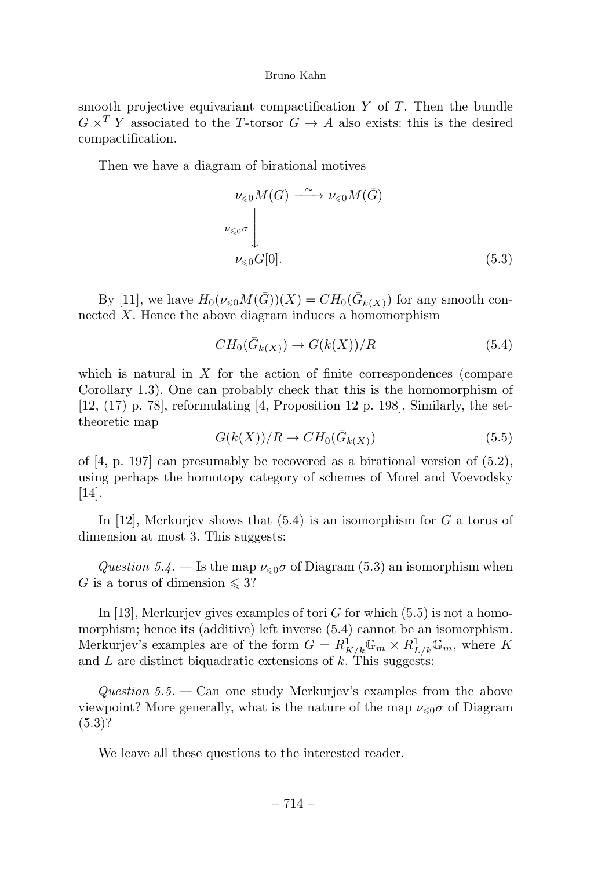smooth projective equivariant compactification  $Y$  of  $T$ . Then the bundle  $G \times^T Y$  associated to the T-torsor  $G \to A$  also exists: this is the desired compactification.

Then we have a diagram of birational motives

$$
\nu_{\leq 0} M(G) \xrightarrow{\sim} \nu_{\leq 0} M(\bar{G})
$$
  

$$
\nu_{\leq 0} \sigma \bigcup_{\nu_{\leq 0} G[0].}
$$
 (5.3)

By [11], we have  $H_0(\nu_{\leq 0}M(\bar{G}))(X) = CH_0(\bar{G}_{k(X)})$  for any smooth connected X. Hence the above diagram induces a homomorphism

$$
CH_0(\bar{G}_{k(X)}) \to G(k(X))/R
$$
\n(5.4)

which is natural in  $X$  for the action of finite correspondences (compare Corollary 1.3). One can probably check that this is the homomorphism of  $[12, (17)$  p. 78], reformulating [4, Proposition 12 p. 198]. Similarly, the settheoretic map

$$
G(k(X))/R \to CH_0(\bar{G}_{k(X)})
$$
\n
$$
(5.5)
$$

of [4, p. 197] can presumably be recovered as a birational version of (5.2), using perhaps the homotopy category of schemes of Morel and Voevodsky [14].

In [12], Merkurjev shows that  $(5.4)$  is an isomorphism for G a torus of dimension at most 3. This suggests:

Question 5.4. – Is the map  $\nu_{\leq 0} \sigma$  of Diagram (5.3) an isomorphism when G is a torus of dimension  $\leqslant 3$ ?

In [13], Merkurjev gives examples of tori G for which  $(5.5)$  is not a homomorphism; hence its (additive) left inverse (5.4) cannot be an isomorphism. Merkurjev's examples are of the form  $G = R^1_{K/k} \mathbb{G}_m \times R^1_{L/k} \mathbb{G}_m$ , where K and  $L$  are distinct biquadratic extensions of  $k$ . This suggests:

Question 5.5. — Can one study Merkurjev's examples from the above viewpoint? More generally, what is the nature of the map  $\nu_{\leq 0}\sigma$  of Diagram  $(5.3)$ ?

We leave all these questions to the interested reader.